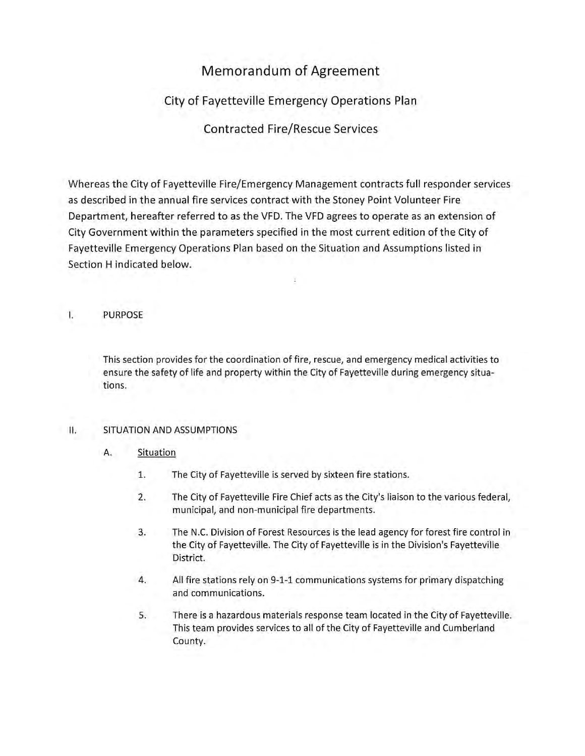# Memorandum of Agreement

## City of Fayetteville Emergency Operations Plan

## Contracted Fire/Rescue Services

Whereas the City of Fayetteville Fire/Emergency Management contracts full responder services as described in the annual fire services contract with the Stoney Point Volunteer Fire Department, hereafter referred to as the VFD. The VFD agrees to operate as an extension of City Government within the parameters specified in the most current edition of the City of Fayetteville Emergency Operations Plan based on the Situation and Assumptions listed in Section H indicated below.

I. PURPOSE

This section provides for the coordination of fire, rescue, and emergency medical activities to ensure the safety of life and property within the City of Fayetteville during emergency situations.

## II. SITUATION AND ASSUMPTIONS

### A. Situation

- 1. The City of Fayetteville is served by sixteen fire stations.
- 2. The City of Fayetteville Fire Chief acts as the City's liaison to the various federal, municipal, and non-municipal fire departments.
- 3. The N.C. Division of Forest Resources is the lead agency for forest fire control in the City of Fayetteville. The City of Fayetteville is in the Division's Fayetteville District.
- 4. All fire stations rely on 9-1-1 communications systems for primary dispatching and communications.
- 5. There is a hazardous materials response team located in the City of Fayetteville. This team provides services to all of the City of Fayetteville and Cumberland County.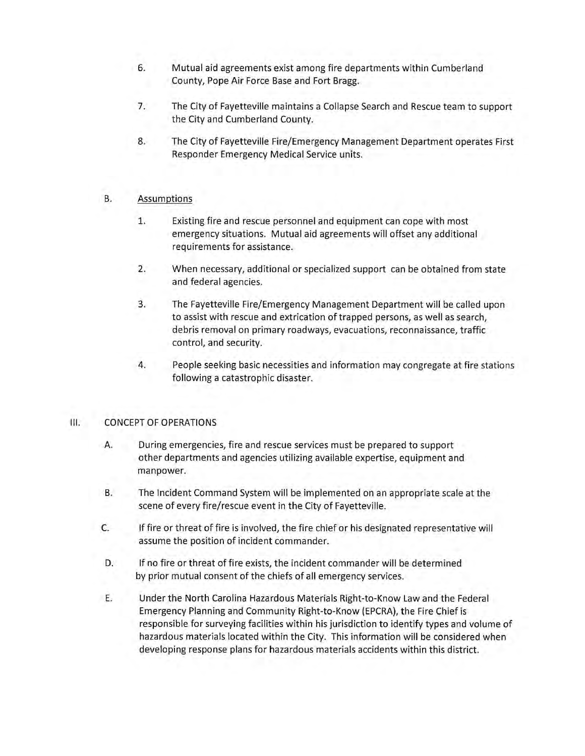- 6. Mutual aid agreements exist among fire departments within Cumberland County, Pope Air Force Base and Fort Bragg.
- 7. The City of Fayetteville maintains a Collapse Search and Rescue team to support the City and Cumberland County.
- 8. The City of Fayetteville Fire/Emergency Management Department operates First Responder Emergency Medical Service units.

### B. Assumptions

- 1. Existing fire and rescue personnel and equipment can cope with most emergency situations. Mutual aid agreements will offset any additional requirements for assistance.
- 2. When necessary, additional or specialized support can be obtained from state and federal agencies.
- 3. The Fayetteville Fire/Emergency Management Department will be called upon to assist with rescue and extrication of trapped persons, as well as search, debris removal on primary roadways, evacuations, reconnaissance, traffic control, and security.
- 4. People seeking basic necessities and information may congregate at fire stations following a catastrophic disaster.

### III. CONCEPT OF OPERATIONS

- A. During emergencies, fire and rescue services must be prepared to support other departments and agencies utilizing available expertise, equipment and manpower.
- B. The Incident Command System will be implemented on an appropriate scale at the scene of every fire/rescue event in the City of Fayetteville.
- C. **If** fire or threat of fire is involved, the fire chief or his designated representative will assume the position of incident commander.
- D. **If** no fire or threat of fire exists, the incident commander will be determined by prior mutual consent of the chiefs of all emergency services.
- E. Under the North Carolina Hazardous Materials Right-to-Know Law and the Federal Emergency Planning and Community Right-to-Know (EPCRA), the Fire Chief is responsible for surveying facilities within his jurisdiction to identify types and volume of hazardous materials located within the City. This information will be considered when developing response plans for hazardous materials accidents within this district.